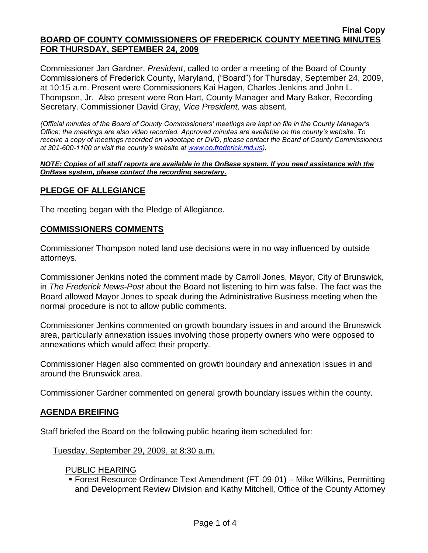#### **Final Copy BOARD OF COUNTY COMMISSIONERS OF FREDERICK COUNTY MEETING MINUTES FOR THURSDAY, SEPTEMBER 24, 2009**

Commissioner Jan Gardner, *President*, called to order a meeting of the Board of County Commissioners of Frederick County, Maryland, ("Board") for Thursday, September 24, 2009, at 10:15 a.m. Present were Commissioners Kai Hagen, Charles Jenkins and John L. Thompson, Jr. Also present were Ron Hart, County Manager and Mary Baker, Recording Secretary. Commissioner David Gray, *Vice President,* was absent.

*(Official minutes of the Board of County Commissioners' meetings are kept on file in the County Manager's Office; the meetings are also video recorded. Approved minutes are available on the county's website. To receive a copy of meetings recorded on videotape or DVD, please contact the Board of County Commissioners at 301-600-1100 or visit the county's website at [www.co.frederick.md.us\)](http://www.co.frederick.md.us/).*

#### *NOTE: Copies of all staff reports are available in the OnBase system. If you need assistance with the OnBase system, please contact the recording secretary.*

## **PLEDGE OF ALLEGIANCE**

The meeting began with the Pledge of Allegiance.

#### **COMMISSIONERS COMMENTS**

Commissioner Thompson noted land use decisions were in no way influenced by outside attorneys.

Commissioner Jenkins noted the comment made by Carroll Jones, Mayor, City of Brunswick, in *The Frederick News-Post* about the Board not listening to him was false. The fact was the Board allowed Mayor Jones to speak during the Administrative Business meeting when the normal procedure is not to allow public comments.

Commissioner Jenkins commented on growth boundary issues in and around the Brunswick area, particularly annexation issues involving those property owners who were opposed to annexations which would affect their property.

Commissioner Hagen also commented on growth boundary and annexation issues in and around the Brunswick area.

Commissioner Gardner commented on general growth boundary issues within the county.

## **AGENDA BREIFING**

Staff briefed the Board on the following public hearing item scheduled for:

#### Tuesday, September 29, 2009, at 8:30 a.m.

#### PUBLIC HEARING

 Forest Resource Ordinance Text Amendment (FT-09-01) – Mike Wilkins, Permitting and Development Review Division and Kathy Mitchell, Office of the County Attorney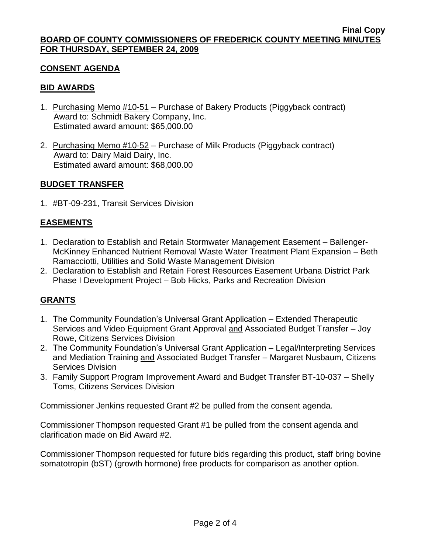## **CONSENT AGENDA**

## **BID AWARDS**

- 1. Purchasing Memo #10-51 Purchase of Bakery Products (Piggyback contract) Award to: Schmidt Bakery Company, Inc. Estimated award amount: \$65,000.00
- 2. Purchasing Memo #10-52 Purchase of Milk Products (Piggyback contract) Award to: Dairy Maid Dairy, Inc. Estimated award amount: \$68,000.00

## **BUDGET TRANSFER**

1. #BT-09-231, Transit Services Division

# **EASEMENTS**

- 1. Declaration to Establish and Retain Stormwater Management Easement Ballenger-McKinney Enhanced Nutrient Removal Waste Water Treatment Plant Expansion – Beth Ramacciotti, Utilities and Solid Waste Management Division
- 2. Declaration to Establish and Retain Forest Resources Easement Urbana District Park Phase I Development Project – Bob Hicks, Parks and Recreation Division

# **GRANTS**

- 1. The Community Foundation's Universal Grant Application Extended Therapeutic Services and Video Equipment Grant Approval and Associated Budget Transfer – Joy Rowe, Citizens Services Division
- 2. The Community Foundation's Universal Grant Application Legal/Interpreting Services and Mediation Training and Associated Budget Transfer - Margaret Nusbaum, Citizens Services Division
- 3. Family Support Program Improvement Award and Budget Transfer BT-10-037 Shelly Toms, Citizens Services Division

Commissioner Jenkins requested Grant #2 be pulled from the consent agenda.

Commissioner Thompson requested Grant #1 be pulled from the consent agenda and clarification made on Bid Award #2.

Commissioner Thompson requested for future bids regarding this product, staff bring [bovine](http://www.rbstfacts.org/rbst-facts/rbst-and-laws-regulations/)  [somatotropin](http://www.rbstfacts.org/rbst-facts/rbst-and-laws-regulations/) (bST) (growth hormone) free products for comparison as another option.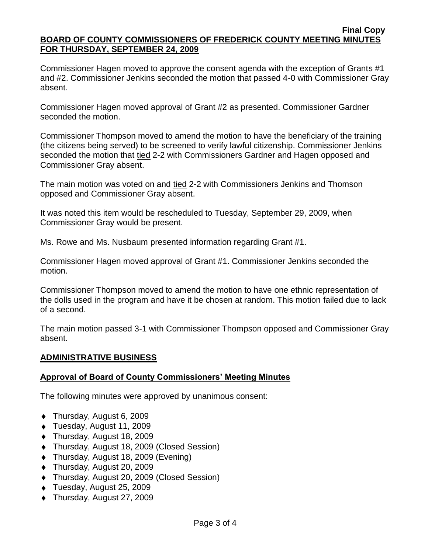#### **Final Copy BOARD OF COUNTY COMMISSIONERS OF FREDERICK COUNTY MEETING MINUTES FOR THURSDAY, SEPTEMBER 24, 2009**

Commissioner Hagen moved to approve the consent agenda with the exception of Grants #1 and #2. Commissioner Jenkins seconded the motion that passed 4-0 with Commissioner Gray absent.

Commissioner Hagen moved approval of Grant #2 as presented. Commissioner Gardner seconded the motion.

Commissioner Thompson moved to amend the motion to have the beneficiary of the training (the citizens being served) to be screened to verify lawful citizenship. Commissioner Jenkins seconded the motion that tied 2-2 with Commissioners Gardner and Hagen opposed and Commissioner Gray absent.

The main motion was voted on and tied 2-2 with Commissioners Jenkins and Thomson opposed and Commissioner Gray absent.

It was noted this item would be rescheduled to Tuesday, September 29, 2009, when Commissioner Gray would be present.

Ms. Rowe and Ms. Nusbaum presented information regarding Grant #1.

Commissioner Hagen moved approval of Grant #1. Commissioner Jenkins seconded the motion.

Commissioner Thompson moved to amend the motion to have one ethnic representation of the dolls used in the program and have it be chosen at random. This motion failed due to lack of a second.

The main motion passed 3-1 with Commissioner Thompson opposed and Commissioner Gray absent.

# **ADMINISTRATIVE BUSINESS**

# **Approval of Board of County Commissioners' Meeting Minutes**

The following minutes were approved by unanimous consent:

- Thursday, August 6, 2009
- Tuesday, August 11, 2009
- ◆ Thursday, August 18, 2009
- Thursday, August 18, 2009 (Closed Session)
- ◆ Thursday, August 18, 2009 (Evening)
- Thursday, August 20, 2009
- Thursday, August 20, 2009 (Closed Session)
- Tuesday, August 25, 2009
- ◆ Thursday, August 27, 2009